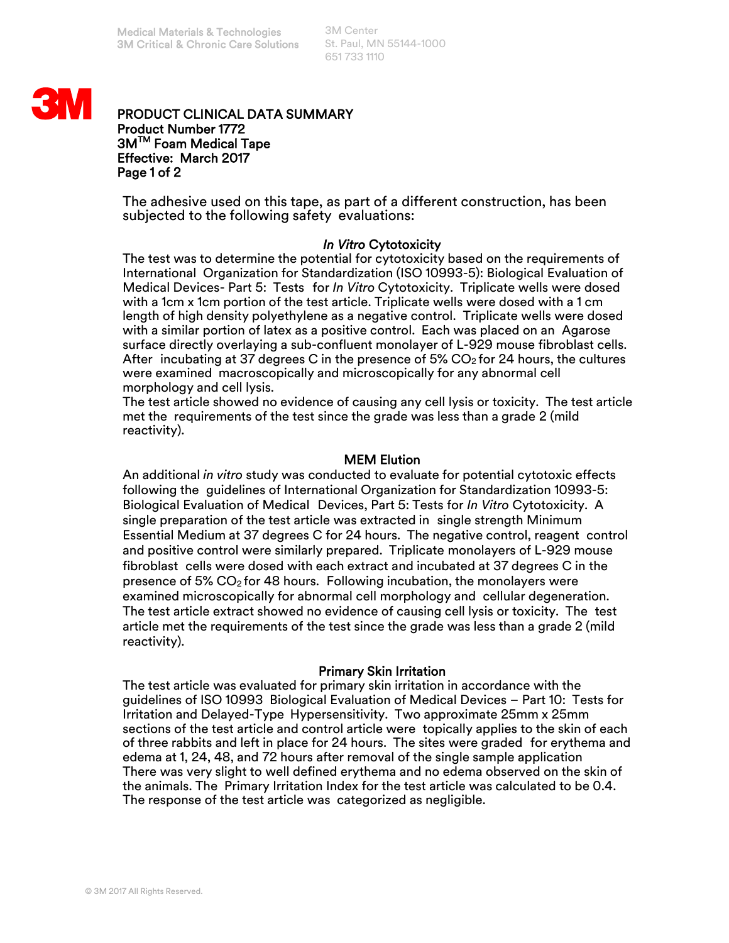3M Center St. Paul, MN 55144-1000 651 733 1110



# PRODUCT CLINICAL DATA SUMMARY Product Number 1772 3M<sup>™</sup> Foam Medical Tape Effective: March 2017 Page 1 of 2

The adhesive used on this tape, as part of a different construction, has been subjected to the following safety evaluations:

# *In Vitro* Cytotoxicity

The test was to determine the potential for cytotoxicity based on the requirements of International Organization for Standardization (ISO 10993-5): Biological Evaluation of Medical Devices- Part 5: Tests for *In Vitro* Cytotoxicity. Triplicate wells were dosed with a 1cm x 1cm portion of the test article. Triplicate wells were dosed with a 1 cm length of high density polyethylene as a negative control. Triplicate wells were dosed with a similar portion of latex as a positive control. Each was placed on an Agarose surface directly overlaying a sub-confluent monolayer of L-929 mouse fibroblast cells. After incubating at 37 degrees C in the presence of 5%  $CO<sub>2</sub>$  for 24 hours, the cultures were examined macroscopically and microscopically for any abnormal cell morphology and cell lysis.

The test article showed no evidence of causing any cell lysis or toxicity. The test article met the requirements of the test since the grade was less than a grade 2 (mild reactivity).

# MEM Elution

An additional *in vitro* study was conducted to evaluate for potential cytotoxic effects following the guidelines of International Organization for Standardization 10993-5: Biological Evaluation of Medical Devices, Part 5: Tests for *In Vitro* Cytotoxicity. A single preparation of the test article was extracted in single strength Minimum Essential Medium at 37 degrees C for 24 hours. The negative control, reagent control and positive control were similarly prepared. Triplicate monolayers of L-929 mouse fibroblast cells were dosed with each extract and incubated at 37 degrees C in the presence of 5%  $CO<sub>2</sub>$  for 48 hours. Following incubation, the monolayers were examined microscopically for abnormal cell morphology and cellular degeneration. The test article extract showed no evidence of causing cell lysis or toxicity. The test article met the requirements of the test since the grade was less than a grade 2 (mild reactivity).

# Primary Skin Irritation

The test article was evaluated for primary skin irritation in accordance with the guidelines of ISO 10993 Biological Evaluation of Medical Devices – Part 10: Tests for Irritation and Delayed-Type Hypersensitivity. Two approximate 25mm x 25mm sections of the test article and control article were topically applies to the skin of each of three rabbits and left in place for 24 hours. The sites were graded for erythema and edema at 1, 24, 48, and 72 hours after removal of the single sample application There was very slight to well defined erythema and no edema observed on the skin of the animals. The Primary Irritation Index for the test article was calculated to be 0.4. The response of the test article was categorized as negligible.